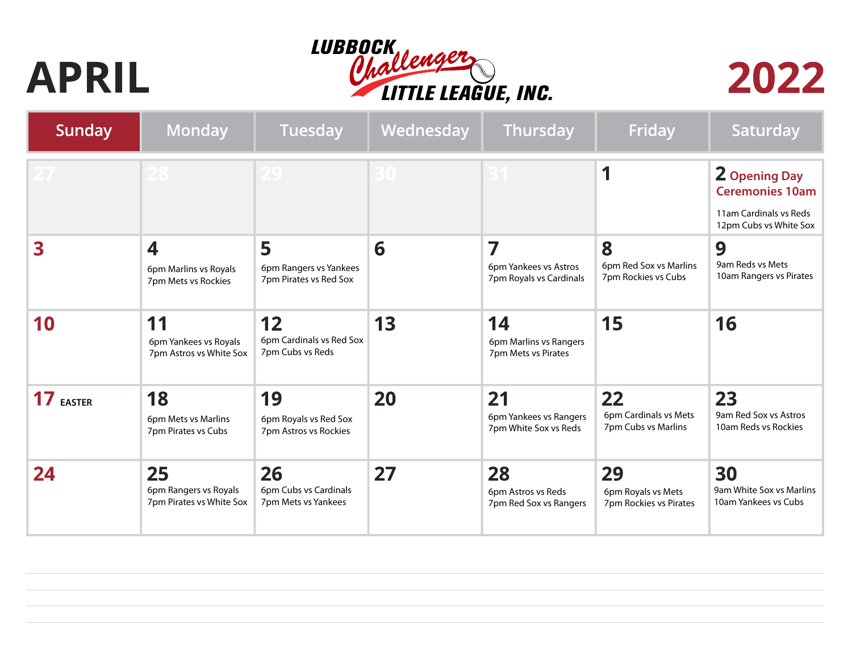## **APRIL**





| <b>Sunday</b> | Monday                                                  | Tuesday                                               | Wednesday | Thursday                                              | Friday                                             | Saturday                                                                                           |
|---------------|---------------------------------------------------------|-------------------------------------------------------|-----------|-------------------------------------------------------|----------------------------------------------------|----------------------------------------------------------------------------------------------------|
|               |                                                         |                                                       |           |                                                       |                                                    | <b>2 Opening Day</b><br><b>Ceremonies 10am</b><br>11am Cardinals vs Reds<br>12pm Cubs vs White Sox |
| 3             | 4<br>6pm Marlins vs Royals<br>7pm Mets vs Rockies       | 5<br>6pm Rangers vs Yankees<br>7pm Pirates vs Red Sox | 6         | 7<br>6pm Yankees vs Astros<br>7pm Royals vs Cardinals | 8<br>6pm Red Sox vs Marlins<br>7pm Rockies vs Cubs | 9<br>9am Reds vs Mets<br>10am Rangers vs Pirates                                                   |
| 10            | 11<br>6pm Yankees vs Royals<br>7pm Astros vs White Sox  | 12<br>6pm Cardinals vs Red Sox<br>7pm Cubs vs Reds    | 13        | 14<br>6pm Marlins vs Rangers<br>7pm Mets vs Pirates   | 15                                                 | 16                                                                                                 |
| 17 EASTER     | 18<br>6pm Mets vs Marlins<br>7pm Pirates vs Cubs        | 19<br>6pm Royals vs Red Sox<br>7pm Astros vs Rockies  | 20        | 21<br>6pm Yankees vs Rangers<br>7pm White Sox vs Reds | 22<br>6pm Cardinals vs Mets<br>7pm Cubs vs Marlins | 23<br>9am Red Sox vs Astros<br>10am Reds vs Rockies                                                |
| 24            | 25<br>6pm Rangers vs Royals<br>7pm Pirates vs White Sox | 26<br>6pm Cubs vs Cardinals<br>7pm Mets vs Yankees    | 27        | 28<br>6pm Astros vs Reds<br>7pm Red Sox vs Rangers    | 29<br>6pm Royals vs Mets<br>7pm Rockies vs Pirates | 30<br>9am White Sox vs Marlins<br>10am Yankees vs Cubs                                             |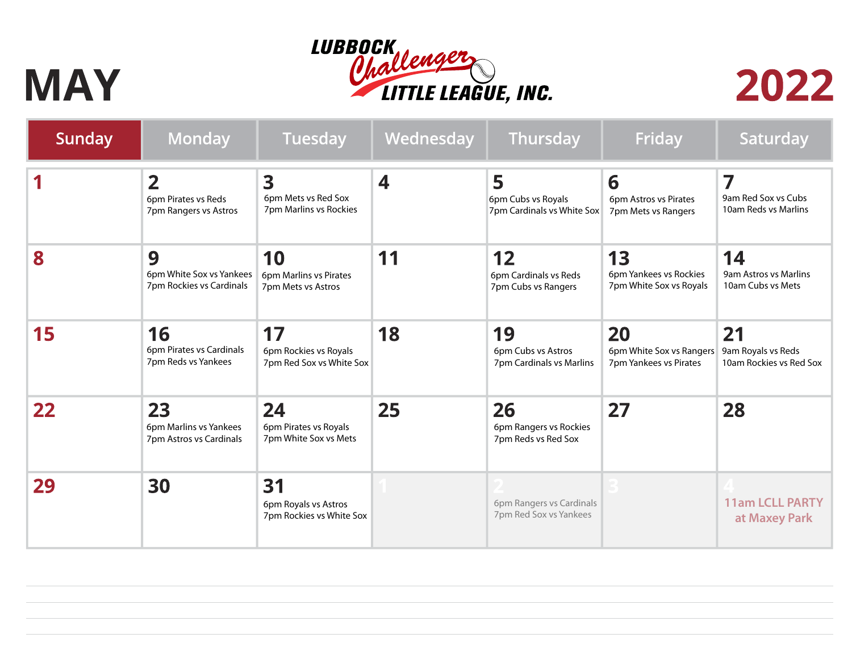## LUBBOCK<br>Ohallenge LITTLE LEAGUE, INC.

## **MAY**



| Sunday            | <b>Monday</b>                                                  | Tuesday                                                 | Wednesday        | Thursday                                              | Friday                                                   | Saturday                                            |
|-------------------|----------------------------------------------------------------|---------------------------------------------------------|------------------|-------------------------------------------------------|----------------------------------------------------------|-----------------------------------------------------|
|                   | $\overline{2}$<br>6pm Pirates vs Reds<br>7pm Rangers vs Astros | 3<br>6pm Mets vs Red Sox<br>7pm Marlins vs Rockies      | $\boldsymbol{4}$ | 5<br>6pm Cubs vs Royals<br>7pm Cardinals vs White Sox | 6<br>6pm Astros vs Pirates<br>7pm Mets vs Rangers        | 7<br>9am Red Sox vs Cubs<br>10am Reds vs Marlins    |
| 8                 | 9<br>6pm White Sox vs Yankees<br>7pm Rockies vs Cardinals      | 10<br>6pm Marlins vs Pirates<br>7pm Mets vs Astros      | 11               | 12<br>6pm Cardinals vs Reds<br>7pm Cubs vs Rangers    | 13<br>6pm Yankees vs Rockies<br>7pm White Sox vs Royals  | 14<br>9am Astros vs Marlins<br>10am Cubs vs Mets    |
| 15                | 16<br>6pm Pirates vs Cardinals<br>7pm Reds vs Yankees          | 17<br>6pm Rockies vs Royals<br>7pm Red Sox vs White Sox | 18               | 19<br>6pm Cubs vs Astros<br>7pm Cardinals vs Marlins  | 20<br>6pm White Sox vs Rangers<br>7pm Yankees vs Pirates | 21<br>9am Royals vs Reds<br>10am Rockies vs Red Sox |
| $22 \overline{)}$ | 23<br>6pm Marlins vs Yankees<br>7pm Astros vs Cardinals        | 24<br>6pm Pirates vs Royals<br>7pm White Sox vs Mets    | 25               | 26<br>6pm Rangers vs Rockies<br>7pm Reds vs Red Sox   | 27                                                       | 28                                                  |
| 29                | 30                                                             | 31<br>6pm Royals vs Astros<br>7pm Rockies vs White Sox  |                  | 6pm Rangers vs Cardinals<br>7pm Red Sox vs Yankees    |                                                          | <b>11am LCLL PARTY</b><br>at Maxey Park             |